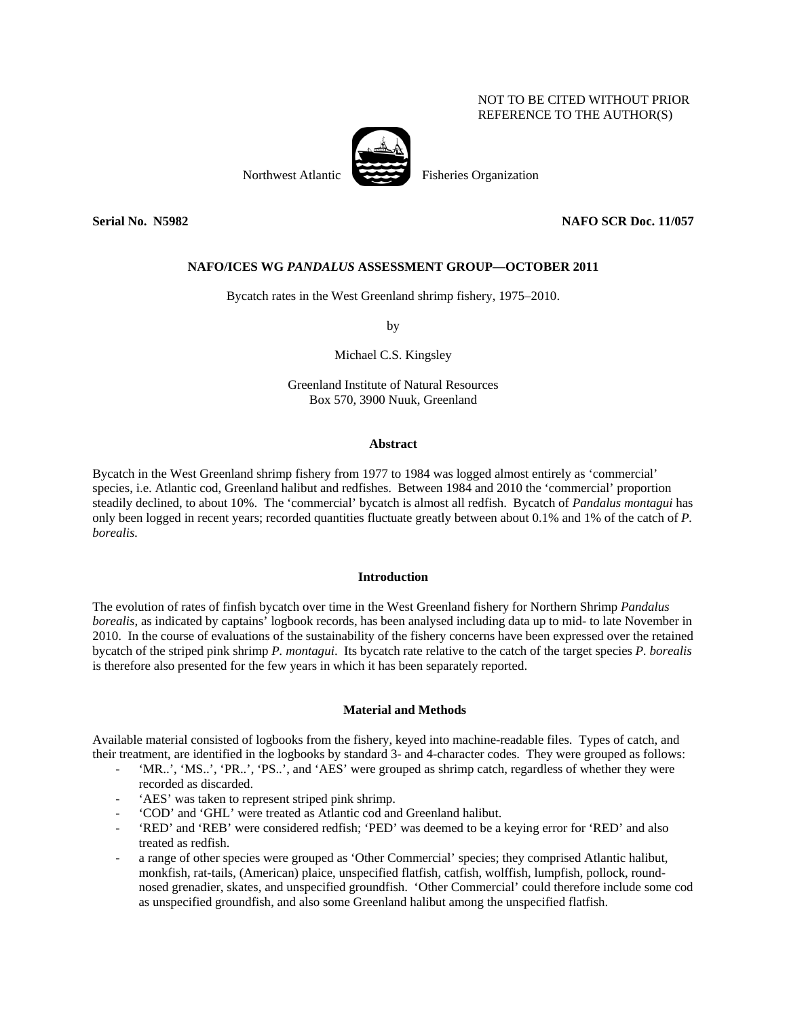# NOT TO BE CITED WITHOUT PRIOR REFERENCE TO THE AUTHOR(S)



Northwest Atlantic Fisheries Organization

**Serial No. N5982 NAFO SCR Doc. 11/057** 

# **NAFO/ICES WG** *PANDALUS* **ASSESSMENT GROUP—OCTOBER 2011**

Bycatch rates in the West Greenland shrimp fishery, 1975–2010.

by

Michael C.S. Kingsley

Greenland Institute of Natural Resources Box 570, 3900 Nuuk, Greenland

## **Abstract**

Bycatch in the West Greenland shrimp fishery from 1977 to 1984 was logged almost entirely as 'commercial' species, i.e. Atlantic cod, Greenland halibut and redfishes. Between 1984 and 2010 the 'commercial' proportion steadily declined, to about 10%. The 'commercial' bycatch is almost all redfish. Bycatch of *Pandalus montagui* has only been logged in recent years; recorded quantities fluctuate greatly between about 0.1% and 1% of the catch of *P. borealis.*

### **Introduction**

The evolution of rates of finfish bycatch over time in the West Greenland fishery for Northern Shrimp *Pandalus borealis*, as indicated by captains' logbook records, has been analysed including data up to mid- to late November in 2010. In the course of evaluations of the sustainability of the fishery concerns have been expressed over the retained bycatch of the striped pink shrimp *P. montagui*. Its bycatch rate relative to the catch of the target species *P. borealis* is therefore also presented for the few years in which it has been separately reported.

## **Material and Methods**

Available material consisted of logbooks from the fishery, keyed into machine-readable files. Types of catch, and their treatment, are identified in the logbooks by standard 3- and 4-character codes. They were grouped as follows:

- 'MR..', 'MS..', 'PR..', 'PS..', and 'AES' were grouped as shrimp catch, regardless of whether they were recorded as discarded.
- 'AES' was taken to represent striped pink shrimp.
- 'COD' and 'GHL' were treated as Atlantic cod and Greenland halibut.
- 'RED' and 'REB' were considered redfish; 'PED' was deemed to be a keying error for 'RED' and also treated as redfish.
- a range of other species were grouped as 'Other Commercial' species; they comprised Atlantic halibut, monkfish, rat-tails, (American) plaice, unspecified flatfish, catfish, wolffish, lumpfish, pollock, roundnosed grenadier, skates, and unspecified groundfish. 'Other Commercial' could therefore include some cod as unspecified groundfish, and also some Greenland halibut among the unspecified flatfish.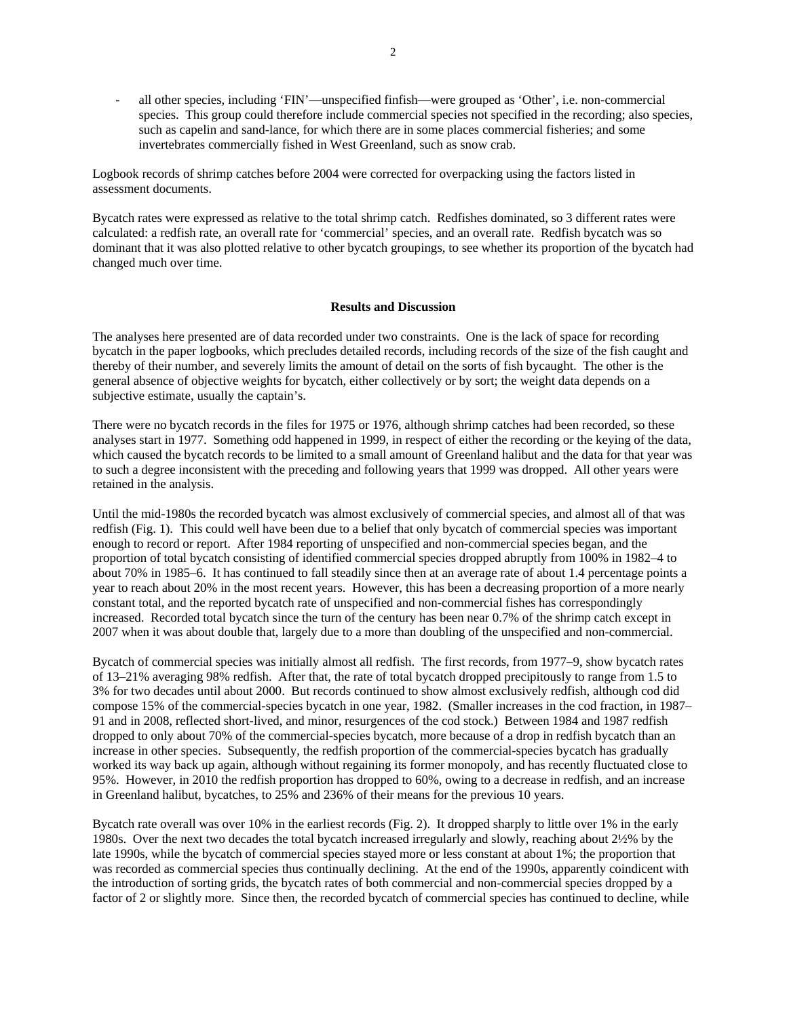- all other species, including 'FIN'—unspecified finfish—were grouped as 'Other', i.e. non-commercial species. This group could therefore include commercial species not specified in the recording; also species, such as capelin and sand-lance, for which there are in some places commercial fisheries; and some invertebrates commercially fished in West Greenland, such as snow crab.

Logbook records of shrimp catches before 2004 were corrected for overpacking using the factors listed in assessment documents.

Bycatch rates were expressed as relative to the total shrimp catch. Redfishes dominated, so 3 different rates were calculated: a redfish rate, an overall rate for 'commercial' species, and an overall rate. Redfish bycatch was so dominant that it was also plotted relative to other bycatch groupings, to see whether its proportion of the bycatch had changed much over time.

# **Results and Discussion**

The analyses here presented are of data recorded under two constraints. One is the lack of space for recording bycatch in the paper logbooks, which precludes detailed records, including records of the size of the fish caught and thereby of their number, and severely limits the amount of detail on the sorts of fish bycaught. The other is the general absence of objective weights for bycatch, either collectively or by sort; the weight data depends on a subjective estimate, usually the captain's.

There were no bycatch records in the files for 1975 or 1976, although shrimp catches had been recorded, so these analyses start in 1977. Something odd happened in 1999, in respect of either the recording or the keying of the data, which caused the bycatch records to be limited to a small amount of Greenland halibut and the data for that year was to such a degree inconsistent with the preceding and following years that 1999 was dropped. All other years were retained in the analysis.

Until the mid-1980s the recorded bycatch was almost exclusively of commercial species, and almost all of that was redfish (Fig. 1). This could well have been due to a belief that only bycatch of commercial species was important enough to record or report. After 1984 reporting of unspecified and non-commercial species began, and the proportion of total bycatch consisting of identified commercial species dropped abruptly from 100% in 1982–4 to about 70% in 1985–6. It has continued to fall steadily since then at an average rate of about 1.4 percentage points a year to reach about 20% in the most recent years. However, this has been a decreasing proportion of a more nearly constant total, and the reported bycatch rate of unspecified and non-commercial fishes has correspondingly increased. Recorded total bycatch since the turn of the century has been near 0.7% of the shrimp catch except in 2007 when it was about double that, largely due to a more than doubling of the unspecified and non-commercial.

Bycatch of commercial species was initially almost all redfish. The first records, from 1977–9, show bycatch rates of 13–21% averaging 98% redfish. After that, the rate of total bycatch dropped precipitously to range from 1.5 to 3% for two decades until about 2000. But records continued to show almost exclusively redfish, although cod did compose 15% of the commercial-species bycatch in one year, 1982. (Smaller increases in the cod fraction, in 1987– 91 and in 2008, reflected short-lived, and minor, resurgences of the cod stock.) Between 1984 and 1987 redfish dropped to only about 70% of the commercial-species bycatch, more because of a drop in redfish bycatch than an increase in other species. Subsequently, the redfish proportion of the commercial-species bycatch has gradually worked its way back up again, although without regaining its former monopoly, and has recently fluctuated close to 95%. However, in 2010 the redfish proportion has dropped to 60%, owing to a decrease in redfish, and an increase in Greenland halibut, bycatches, to 25% and 236% of their means for the previous 10 years.

Bycatch rate overall was over 10% in the earliest records (Fig. 2). It dropped sharply to little over 1% in the early 1980s. Over the next two decades the total bycatch increased irregularly and slowly, reaching about 2½% by the late 1990s, while the bycatch of commercial species stayed more or less constant at about 1%; the proportion that was recorded as commercial species thus continually declining. At the end of the 1990s, apparently coindicent with the introduction of sorting grids, the bycatch rates of both commercial and non-commercial species dropped by a factor of 2 or slightly more. Since then, the recorded bycatch of commercial species has continued to decline, while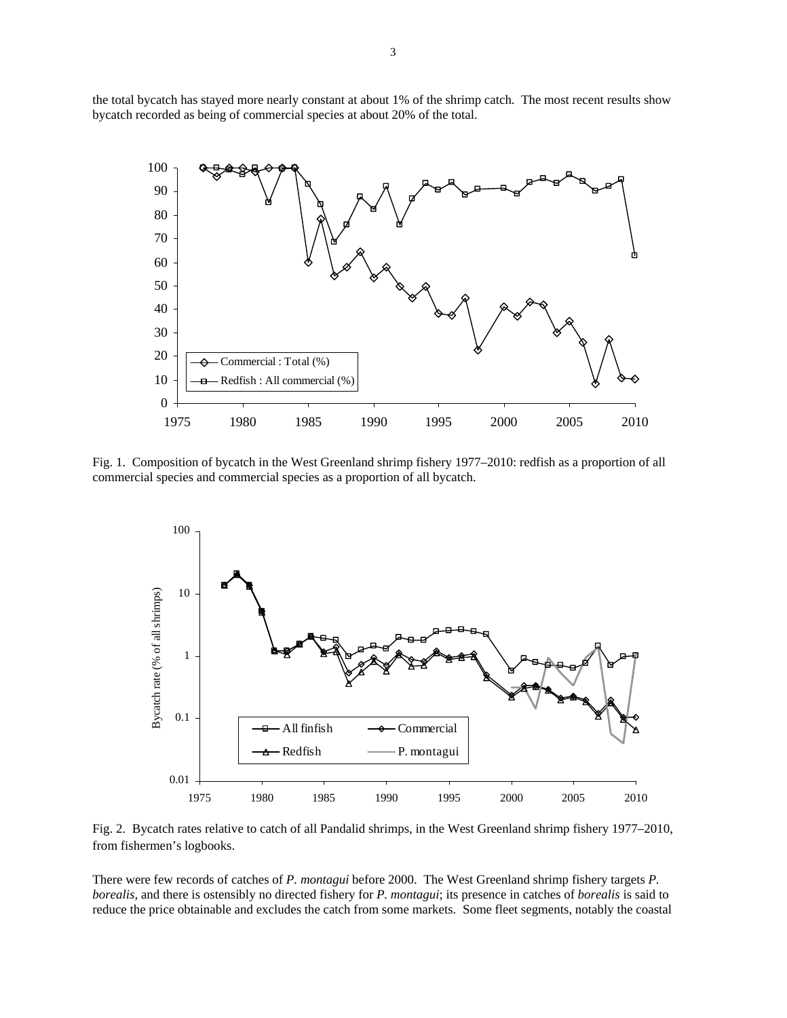the total bycatch has stayed more nearly constant at about 1% of the shrimp catch. The most recent results show bycatch recorded as being of commercial species at about 20% of the total.



Fig. 1. Composition of bycatch in the West Greenland shrimp fishery 1977–2010: redfish as a proportion of all commercial species and commercial species as a proportion of all bycatch.



Fig. 2. Bycatch rates relative to catch of all Pandalid shrimps, in the West Greenland shrimp fishery 1977–2010, from fishermen's logbooks.

There were few records of catches of *P. montagui* before 2000. The West Greenland shrimp fishery targets *P. borealis*, and there is ostensibly no directed fishery for *P. montagui*; its presence in catches of *borealis* is said to reduce the price obtainable and excludes the catch from some markets. Some fleet segments, notably the coastal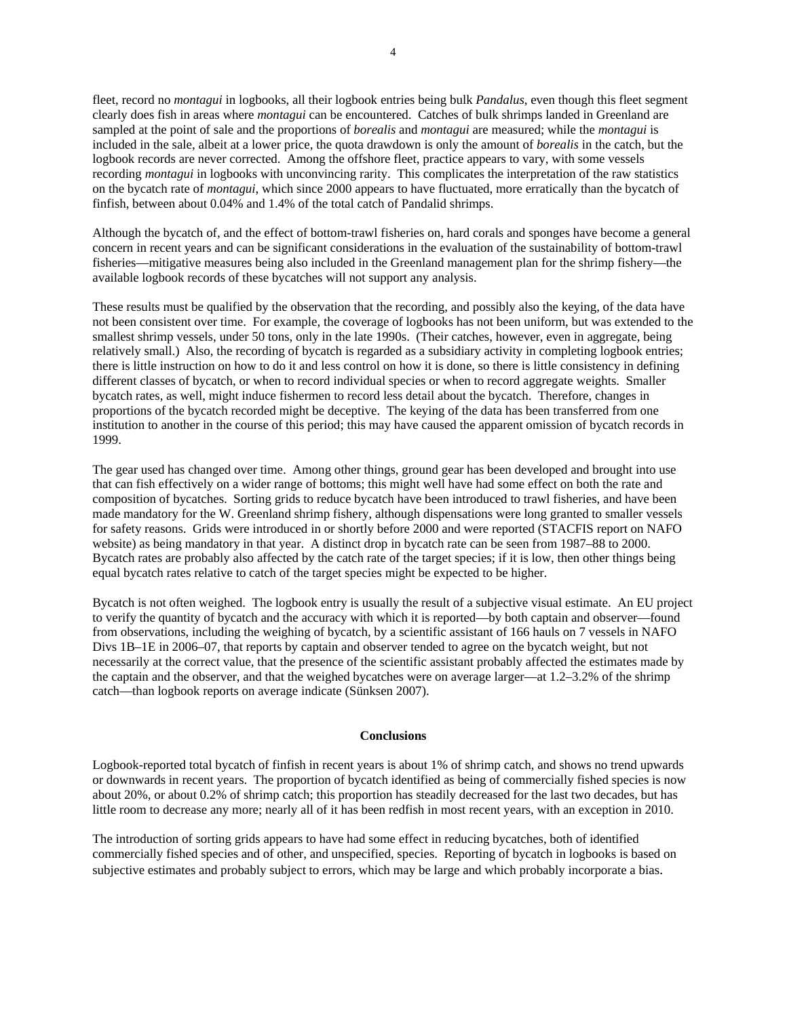fleet, record no *montagui* in logbooks, all their logbook entries being bulk *Pandalus*, even though this fleet segment clearly does fish in areas where *montagui* can be encountered. Catches of bulk shrimps landed in Greenland are sampled at the point of sale and the proportions of *borealis* and *montagui* are measured; while the *montagui* is included in the sale, albeit at a lower price, the quota drawdown is only the amount of *borealis* in the catch, but the logbook records are never corrected. Among the offshore fleet, practice appears to vary, with some vessels recording *montagui* in logbooks with unconvincing rarity. This complicates the interpretation of the raw statistics on the bycatch rate of *montagui*, which since 2000 appears to have fluctuated, more erratically than the bycatch of finfish, between about 0.04% and 1.4% of the total catch of Pandalid shrimps.

Although the bycatch of, and the effect of bottom-trawl fisheries on, hard corals and sponges have become a general concern in recent years and can be significant considerations in the evaluation of the sustainability of bottom-trawl fisheries—mitigative measures being also included in the Greenland management plan for the shrimp fishery—the available logbook records of these bycatches will not support any analysis.

These results must be qualified by the observation that the recording, and possibly also the keying, of the data have not been consistent over time. For example, the coverage of logbooks has not been uniform, but was extended to the smallest shrimp vessels, under 50 tons, only in the late 1990s. (Their catches, however, even in aggregate, being relatively small.) Also, the recording of bycatch is regarded as a subsidiary activity in completing logbook entries; there is little instruction on how to do it and less control on how it is done, so there is little consistency in defining different classes of bycatch, or when to record individual species or when to record aggregate weights. Smaller bycatch rates, as well, might induce fishermen to record less detail about the bycatch. Therefore, changes in proportions of the bycatch recorded might be deceptive. The keying of the data has been transferred from one institution to another in the course of this period; this may have caused the apparent omission of bycatch records in 1999.

The gear used has changed over time. Among other things, ground gear has been developed and brought into use that can fish effectively on a wider range of bottoms; this might well have had some effect on both the rate and composition of bycatches. Sorting grids to reduce bycatch have been introduced to trawl fisheries, and have been made mandatory for the W. Greenland shrimp fishery, although dispensations were long granted to smaller vessels for safety reasons. Grids were introduced in or shortly before 2000 and were reported (STACFIS report on NAFO website) as being mandatory in that year. A distinct drop in bycatch rate can be seen from 1987–88 to 2000. Bycatch rates are probably also affected by the catch rate of the target species; if it is low, then other things being equal bycatch rates relative to catch of the target species might be expected to be higher.

Bycatch is not often weighed. The logbook entry is usually the result of a subjective visual estimate. An EU project to verify the quantity of bycatch and the accuracy with which it is reported—by both captain and observer—found from observations, including the weighing of bycatch, by a scientific assistant of 166 hauls on 7 vessels in NAFO Divs 1B–1E in 2006–07, that reports by captain and observer tended to agree on the bycatch weight, but not necessarily at the correct value, that the presence of the scientific assistant probably affected the estimates made by the captain and the observer, and that the weighed bycatches were on average larger—at 1.2–3.2% of the shrimp catch—than logbook reports on average indicate (Sünksen 2007).

## **Conclusions**

Logbook-reported total bycatch of finfish in recent years is about 1% of shrimp catch, and shows no trend upwards or downwards in recent years. The proportion of bycatch identified as being of commercially fished species is now about 20%, or about 0.2% of shrimp catch; this proportion has steadily decreased for the last two decades, but has little room to decrease any more; nearly all of it has been redfish in most recent years, with an exception in 2010.

The introduction of sorting grids appears to have had some effect in reducing bycatches, both of identified commercially fished species and of other, and unspecified, species. Reporting of bycatch in logbooks is based on subjective estimates and probably subject to errors, which may be large and which probably incorporate a bias.